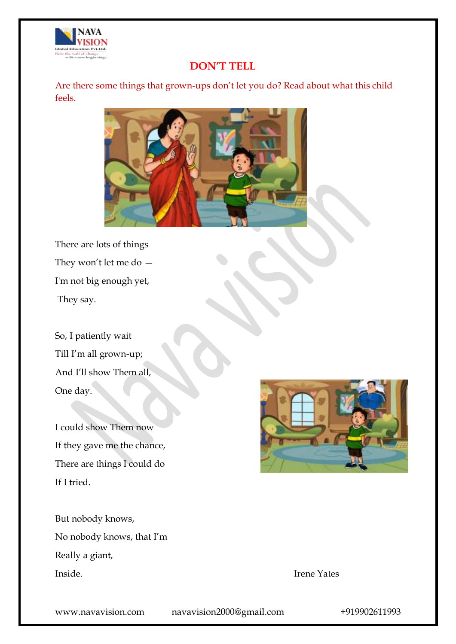

### **DON'T TELL**

Are there some things that grown-ups don't let you do? Read about what this child feels.



There are lots of things They won't let me do — I'm not big enough yet, They say.

So, I patiently wait Till I'm all grown-up; And I'll show Them all, One day.

I could show Them now If they gave me the chance, There are things I could do If I tried.

But nobody knows, No nobody knows, that I'm Really a giant, Inside. Irene Yates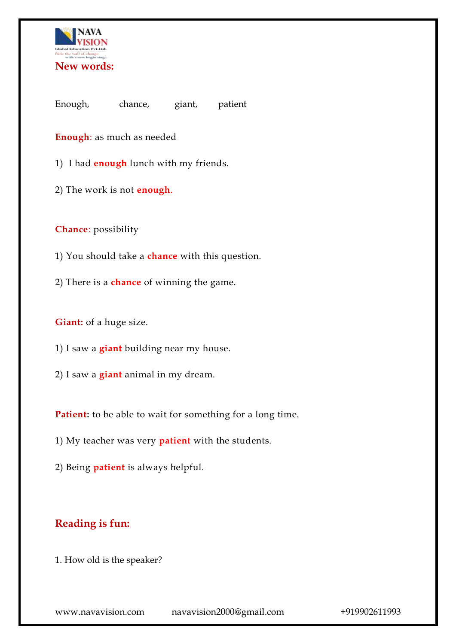

Enough, chance, giant, patient

**Enough**: as much as needed

1) I had **enough** lunch with my friends.

2) The work is not **enough**.

**Chance**: possibility

1) You should take a **chance** with this question.

2) There is a **chance** of winning the game.

**Giant:** of a huge size.

1) I saw a **giant** building near my house.

2) I saw a **giant** animal in my dream.

Patient: to be able to wait for something for a long time.

1) My teacher was very **patient** with the students.

2) Being **patient** is always helpful.

# **Reading is fun:**

1. How old is the speaker?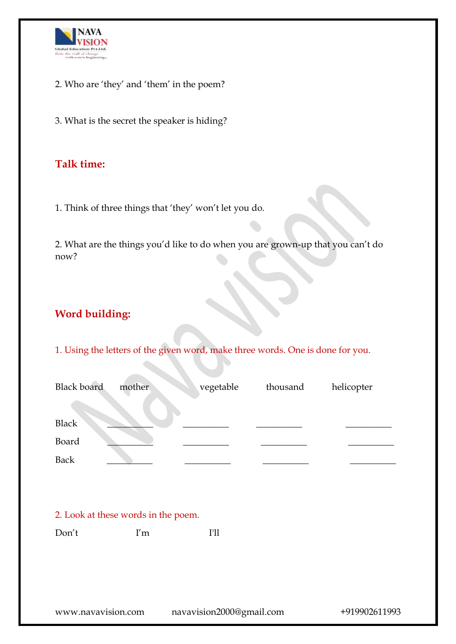

- 2. Who are 'they' and 'them' in the poem?
- 3. What is the secret the speaker is hiding?

### **Talk time:**

1. Think of three things that 'they' won't let you do.

2. What are the things you'd like to do when you are grown-up that you can't do now?

# **Word building:**

1. Using the letters of the given word, make three words. One is done for you.

| <b>Black board</b> | mother                              | vegetable | thousand | helicopter |
|--------------------|-------------------------------------|-----------|----------|------------|
| <b>Black</b>       |                                     |           |          |            |
| Board              |                                     |           |          |            |
| <b>Back</b>        |                                     |           |          |            |
|                    |                                     |           |          |            |
|                    |                                     |           |          |            |
|                    | 2. Look at these words in the poem. |           |          |            |
| Don't              | I'm                                 | I'll      |          |            |